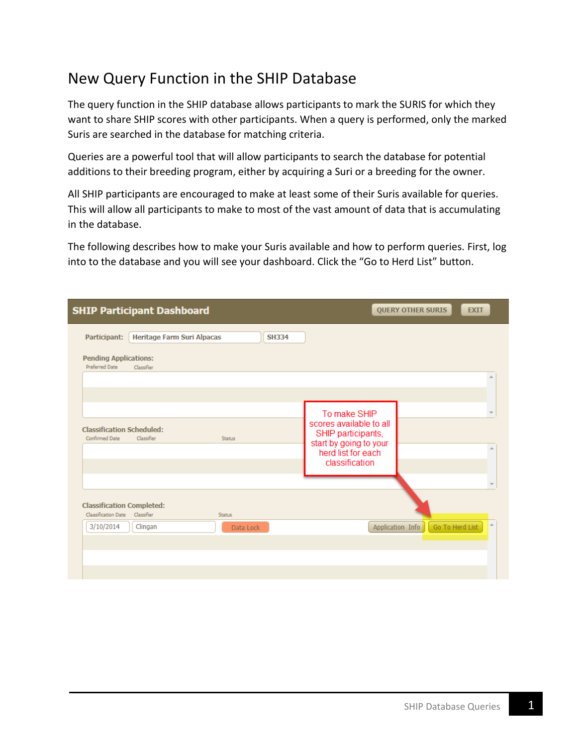## New Query Function in the SHIP Database

The query function in the SHIP database allows participants to mark the SURIS for which they want to share SHIP scores with other participants. When a query is performed, only the marked Suris are searched in the database for matching criteria.

Queries are a powerful tool that will allow participants to search the database for potential additions to their breeding program, either by acquiring a Suri or a breeding for the owner.

All SHIP participants are encouraged to make at least some of their Suris available for queries. This will allow all participants to make to most of the vast amount of data that is accumulating in the database.

The following describes how to make your Suris available and how to perform queries. First, log into to the database and you will see your dashboard. Click the "Go to Herd List" button.

|                                                           | <b>SHIP Participant Dashboard</b> |               |              |                                                                    | <b>QUERY OTHER SURIS</b>            | <b>EXIT</b> |
|-----------------------------------------------------------|-----------------------------------|---------------|--------------|--------------------------------------------------------------------|-------------------------------------|-------------|
| Participant:                                              | <b>Heritage Farm Suri Alpacas</b> |               | <b>SH334</b> |                                                                    |                                     |             |
| <b>Pending Applications:</b><br><b>Preferred Date</b>     | Classifier                        |               |              |                                                                    |                                     |             |
|                                                           |                                   |               |              |                                                                    |                                     | A           |
|                                                           |                                   |               |              | To make SHIP<br>scores available to all                            |                                     |             |
| <b>Classification Scheduled:</b><br><b>Confirmed Date</b> | Classifier                        | <b>Status</b> |              | SHIP participants,<br>start by going to your<br>herd list for each |                                     | ۸           |
|                                                           |                                   |               |              | classification                                                     |                                     |             |
| <b>Classification Completed:</b><br>Claasification Date   | Classifier                        | <b>Status</b> |              |                                                                    |                                     |             |
| 3/10/2014                                                 | Clingan                           | Data Lock     |              |                                                                    | Go To Herd List<br>Application Info | $\triangle$ |
|                                                           |                                   |               |              |                                                                    |                                     |             |
|                                                           |                                   |               |              |                                                                    |                                     |             |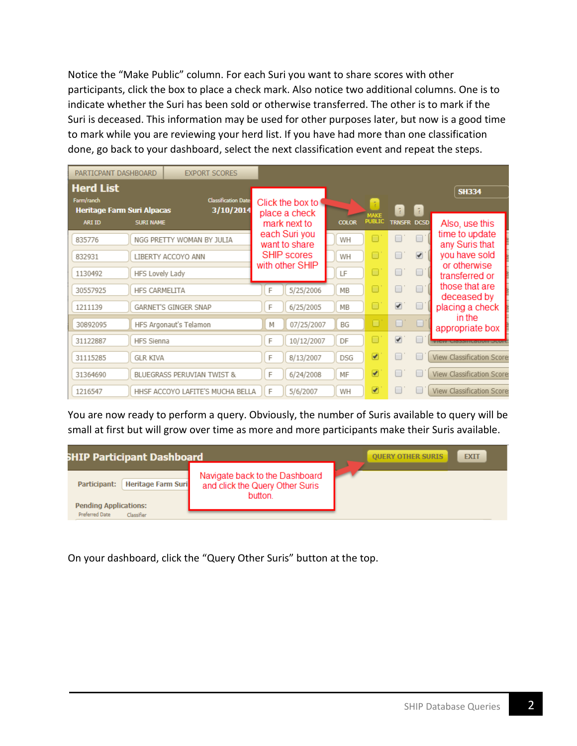Notice the "Make Public" column. For each Suri you want to share scores with other participants, click the box to place a check mark. Also notice two additional columns. One is to indicate whether the Suri has been sold or otherwise transferred. The other is to mark if the Suri is deceased. This information may be used for other purposes later, but now is a good time to mark while you are reviewing your herd list. If you have had more than one classification done, go back to your dashboard, select the next classification event and repeat the steps.

| PARTICPANT DASHBOARD                            |                      | <b>EXPORT SCORES</b>                    |   |                                   |              |                               |                          |                |                                                                                    |
|-------------------------------------------------|----------------------|-----------------------------------------|---|-----------------------------------|--------------|-------------------------------|--------------------------|----------------|------------------------------------------------------------------------------------|
| <b>Herd List</b>                                |                      |                                         |   |                                   |              |                               |                          |                | <b>SH334</b>                                                                       |
| Farm/ranch<br><b>Heritage Farm Suri Alpacas</b> |                      | <b>Classification Date</b><br>3/10/2014 |   | Click the box to<br>place a check |              | $\overline{7}$<br><b>MAKE</b> | $\overline{i}$           | $\overline{?}$ |                                                                                    |
| <b>ARI ID</b>                                   | <b>SURI NAME</b>     |                                         |   | mark next to                      | <b>COLOR</b> | <b>PUBLIC</b>                 | TRNSFR DCSD              |                | Also, use this                                                                     |
| 835776                                          |                      | NGG PRETTY WOMAN BY JULIA               |   | each Suri you<br>want to share    | WH           | ∩                             | $\Box$                   | $\Box$ .       | time to update<br>any Suris that                                                   |
| 832931                                          |                      | LIBERTY ACCOYO ANN                      |   | <b>SHIP scores</b>                | WH           | Ō                             | $\Box$                   | $\blacksquare$ | you have sold                                                                      |
| 1130492                                         | HFS Lovely Lady      |                                         |   | with other SHIP                   | LF           | Ō                             | $\Box$                   | $\Box$         | or otherwise<br>transferred or                                                     |
| 30557925                                        | <b>HFS CARMELITA</b> |                                         | F | 5/25/2006                         | MB           | 0                             | $\Box$                   | $\Box$         | those that are                                                                     |
| 1211139                                         |                      | <b>GARNET'S GINGER SNAP</b>             | F | 6/25/2005                         | MB           | Ō                             | $\overline{\mathcal{L}}$ | $\Box$         | deceased by<br>placing a check                                                     |
| 30892095                                        |                      | HFS Argonaut's Telamon                  | M | 07/25/2007                        | BG           | Ō                             | O'                       |                | in the                                                                             |
| 31122887                                        | <b>HFS Sienna</b>    |                                         | F | 10/12/2007                        | DF           | ⊓                             | $\overline{\mathcal{F}}$ |                | appropriate box<br>AB ENN AV AND VIKE A DIG DIG TO E EXPLAN E REVIEW AND THE UNIT. |
| 31115285                                        | <b>GLR KIVA</b>      |                                         | F | 8/13/2007                         | <b>DSG</b>   | $\blacktriangleright$         | $\Box$                   |                | <b>View Classification Score:</b>                                                  |
| 31364690                                        |                      | BLUEGRASS PERUVIAN TWIST &              | F | 6/24/2008                         | MF           | $\blacktriangleright$         | □                        |                | <b>View Classification Score:</b>                                                  |
| 1216547                                         |                      | HHSF ACCOYO LAFITE'S MUCHA BELLA        | F | 5/6/2007                          | WH           | ᢦ                             |                          |                | <b>View Classification Score:</b>                                                  |

You are now ready to perform a query. Obviously, the number of Suris available to query will be small at first but will grow over time as more and more participants make their Suris available.

| <b>SHIP Participant Dashboard</b>                                         | <b>QUERY OTHER SURIS</b>                                                     | <b>EXIT</b> |  |
|---------------------------------------------------------------------------|------------------------------------------------------------------------------|-------------|--|
| <b>Heritage Farm Suri</b><br>Participant:<br><b>Pending Applications:</b> | Navigate back to the Dashboard<br>and click the Query Other Suris<br>button. |             |  |
| Preferred Date<br>Classifier                                              |                                                                              |             |  |

On your dashboard, click the "Query Other Suris" button at the top.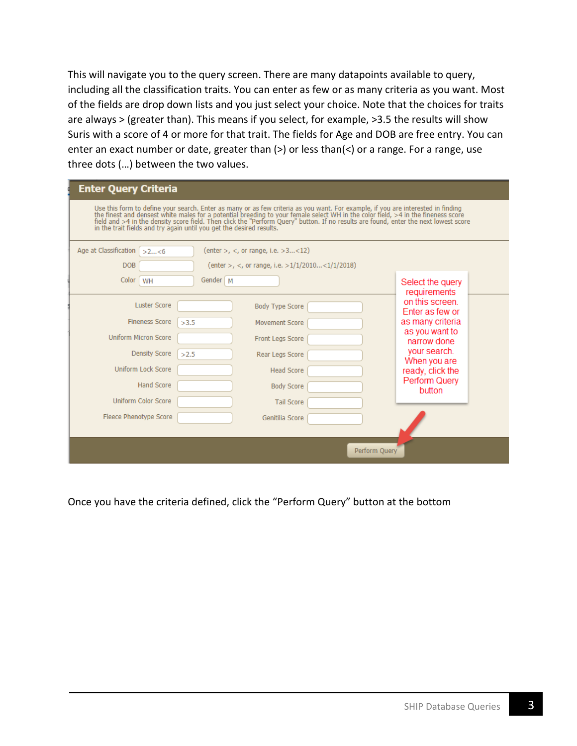This will navigate you to the query screen. There are many datapoints available to query, including all the classification traits. You can enter as few or as many criteria as you want. Most of the fields are drop down lists and you just select your choice. Note that the choices for traits are always > (greater than). This means if you select, for example, >3.5 the results will show Suris with a score of 4 or more for that trait. The fields for Age and DOB are free entry. You can enter an exact number or date, greater than (>) or less than(<) or a range. For a range, use three dots (…) between the two values.

| <b>Enter Query Criteria</b>                                                                                                                                                                                                                                                                                                                                                                                                                                                           |                                                                                                                                                                        |  |  |  |  |  |  |  |  |  |  |
|---------------------------------------------------------------------------------------------------------------------------------------------------------------------------------------------------------------------------------------------------------------------------------------------------------------------------------------------------------------------------------------------------------------------------------------------------------------------------------------|------------------------------------------------------------------------------------------------------------------------------------------------------------------------|--|--|--|--|--|--|--|--|--|--|
| Use this form to define your search. Enter as many or as few criteria as you want. For example, if you are interested in finding<br>the finest and densest white males for a potential breeding to your female select WH in the color field, >4 in the fineness score<br>field and >4 in the density score field. Then click the "Perform Query" button. If no results are found, enter the next lowest score<br>in the trait fields and try again until you get the desired results. |                                                                                                                                                                        |  |  |  |  |  |  |  |  |  |  |
| Age at Classification<br>(enter >, <, or range, i.e. >3<12)<br>>2<6<br><b>DOB</b><br>(enter >, <, or range, i.e. $>1/1/2010$ <1/1/2018)                                                                                                                                                                                                                                                                                                                                               |                                                                                                                                                                        |  |  |  |  |  |  |  |  |  |  |
| Color<br>Gender   M<br>WH                                                                                                                                                                                                                                                                                                                                                                                                                                                             | Select the query<br>requirements                                                                                                                                       |  |  |  |  |  |  |  |  |  |  |
| <b>Luster Score</b><br><b>Body Type Score</b><br><b>Fineness Score</b><br>>3.5<br><b>Movement Score</b><br><b>Uniform Micron Score</b><br><b>Front Legs Score</b><br><b>Density Score</b><br>>2.5<br>Rear Legs Score<br><b>Uniform Lock Score</b><br><b>Head Score</b><br><b>Hand Score</b><br><b>Body Score</b><br><b>Uniform Color Score</b><br><b>Tail Score</b><br>Fleece Phenotype Score<br>Genitilia Score                                                                      | on this screen.<br>Enter as few or<br>as many criteria<br>as you want to<br>narrow done<br>your search.<br>When you are<br>ready, click the<br>Perform Query<br>button |  |  |  |  |  |  |  |  |  |  |
| Perform Ouery                                                                                                                                                                                                                                                                                                                                                                                                                                                                         |                                                                                                                                                                        |  |  |  |  |  |  |  |  |  |  |

Once you have the criteria defined, click the "Perform Query" button at the bottom